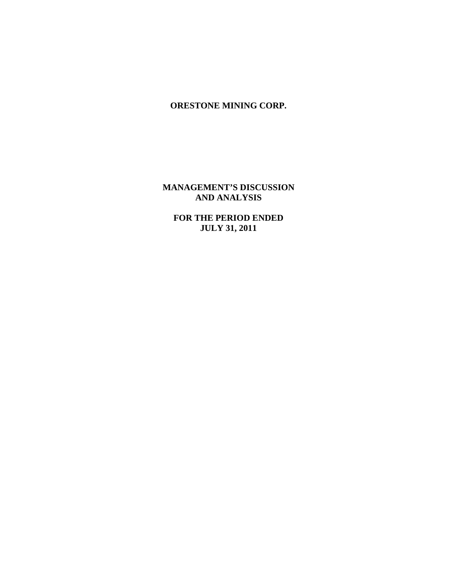**MANAGEMENT'S DISCUSSION AND ANALYSIS**

**FOR THE PERIOD ENDED JULY 31, 2011**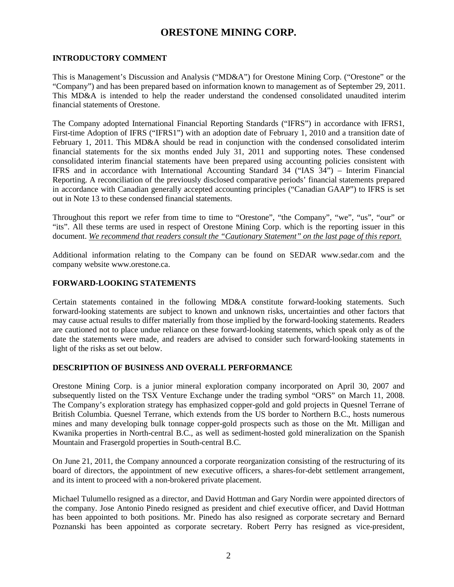#### **INTRODUCTORY COMMENT**

This is Management's Discussion and Analysis ("MD&A") for Orestone Mining Corp. ("Orestone" or the "Company") and has been prepared based on information known to management as of September 29, 2011. This MD&A is intended to help the reader understand the condensed consolidated unaudited interim financial statements of Orestone.

The Company adopted International Financial Reporting Standards ("IFRS") in accordance with IFRS1, First-time Adoption of IFRS ("IFRS1") with an adoption date of February 1, 2010 and a transition date of February 1, 2011. This MD&A should be read in conjunction with the condensed consolidated interim financial statements for the six months ended July 31, 2011 and supporting notes. These condensed consolidated interim financial statements have been prepared using accounting policies consistent with IFRS and in accordance with International Accounting Standard 34 ("IAS 34") – Interim Financial Reporting. A reconciliation of the previously disclosed comparative periods' financial statements prepared in accordance with Canadian generally accepted accounting principles ("Canadian GAAP") to IFRS is set out in Note 13 to these condensed financial statements.

Throughout this report we refer from time to time to "Orestone", "the Company", "we", "us", "our" or "its". All these terms are used in respect of Orestone Mining Corp. which is the reporting issuer in this document. *We recommend that readers consult the "Cautionary Statement" on the last page of this report.*

Additional information relating to the Company can be found on SEDAR www.sedar.com and the company website www.orestone.ca.

#### **FORWARD-LOOKING STATEMENTS**

Certain statements contained in the following MD&A constitute forward-looking statements. Such forward-looking statements are subject to known and unknown risks, uncertainties and other factors that may cause actual results to differ materially from those implied by the forward-looking statements. Readers are cautioned not to place undue reliance on these forward-looking statements, which speak only as of the date the statements were made, and readers are advised to consider such forward-looking statements in light of the risks as set out below.

#### **DESCRIPTION OF BUSINESS AND OVERALL PERFORMANCE**

Orestone Mining Corp. is a junior mineral exploration company incorporated on April 30, 2007 and subsequently listed on the TSX Venture Exchange under the trading symbol "ORS" on March 11, 2008. The Company's exploration strategy has emphasized copper-gold and gold projects in Quesnel Terrane of British Columbia. Quesnel Terrane, which extends from the US border to Northern B.C., hosts numerous mines and many developing bulk tonnage copper-gold prospects such as those on the Mt. Milligan and Kwanika properties in North-central B.C., as well as sediment-hosted gold mineralization on the Spanish Mountain and Frasergold properties in South-central B.C.

On June 21, 2011, the Company announced a corporate reorganization consisting of the restructuring of its board of directors, the appointment of new executive officers, a shares-for-debt settlement arrangement, and its intent to proceed with a non-brokered private placement.

Michael Tulumello resigned as a director, and David Hottman and Gary Nordin were appointed directors of the company. Jose Antonio Pinedo resigned as president and chief executive officer, and David Hottman has been appointed to both positions. Mr. Pinedo has also resigned as corporate secretary and Bernard Poznanski has been appointed as corporate secretary. Robert Perry has resigned as vice-president,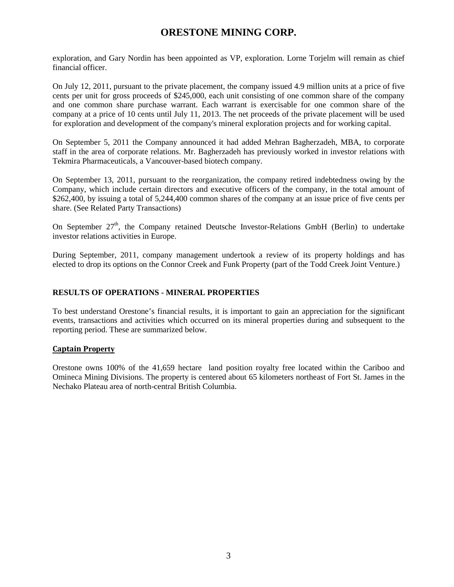exploration, and Gary Nordin has been appointed as VP, exploration. Lorne Torjelm will remain as chief financial officer.

On July 12, 2011, pursuant to the private placement, the company issued 4.9 million units at a price of five cents per unit for gross proceeds of \$245,000, each unit consisting of one common share of the company and one common share purchase warrant. Each warrant is exercisable for one common share of the company at a price of 10 cents until July 11, 2013. The net proceeds of the private placement will be used for exploration and development of the company's mineral exploration projects and for working capital.

On September 5, 2011 the Company announced it had added Mehran Bagherzadeh, MBA, to corporate staff in the area of corporate relations. Mr. Bagherzadeh has previously worked in investor relations with Tekmira Pharmaceuticals, a Vancouver-based biotech company.

On September 13, 2011, pursuant to the reorganization, the company retired indebtedness owing by the Company, which include certain directors and executive officers of the company, in the total amount of \$262,400, by issuing a total of 5,244,400 common shares of the company at an issue price of five cents per share. (See Related Party Transactions)

On September  $27<sup>th</sup>$ , the Company retained Deutsche Investor-Relations GmbH (Berlin) to undertake investor relations activities in Europe.

During September, 2011, company management undertook a review of its property holdings and has elected to drop its options on the Connor Creek and Funk Property (part of the Todd Creek Joint Venture.)

#### **RESULTS OF OPERATIONS - MINERAL PROPERTIES**

To best understand Orestone's financial results, it is important to gain an appreciation for the significant events, transactions and activities which occurred on its mineral properties during and subsequent to the reporting period. These are summarized below.

#### **Captain Property**

Orestone owns 100% of the 41,659 hectare land position royalty free located within the Cariboo and Omineca Mining Divisions. The property is centered about 65 kilometers northeast of Fort St. James in the Nechako Plateau area of north-central British Columbia.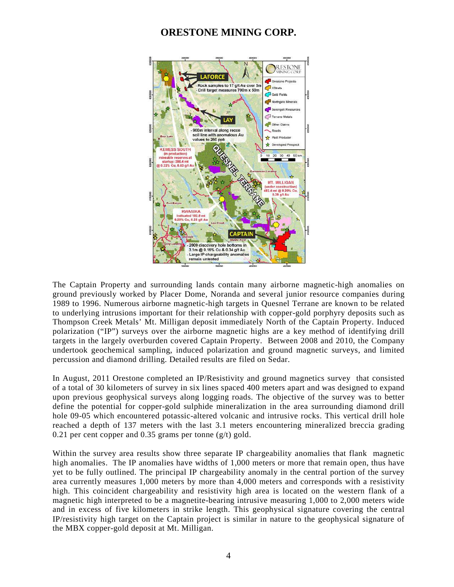

The Captain Property and surrounding lands contain many airborne magnetic-high anomalies on ground previously worked by Placer Dome, Noranda and several junior resource companies during 1989 to 1996. Numerous airborne magnetic-high targets in Quesnel Terrane are known to be related to underlying intrusions important for their relationship with copper-gold porphyry deposits such as Thompson Creek Metals' Mt. Milligan deposit immediately North of the Captain Property. Induced polarization ("IP") surveys over the airborne magnetic highs are a key method of identifying drill targets in the largely overburden covered Captain Property. Between 2008 and 2010, the Company undertook geochemical sampling, induced polarization and ground magnetic surveys, and limited percussion and diamond drilling. Detailed results are filed on Sedar.

In August, 2011 Orestone completed an IP/Resistivity and ground magnetics survey that consisted of a total of 30 kilometers of survey in six lines spaced 400 meters apart and was designed to expand upon previous geophysical surveys along logging roads. The objective of the survey was to better define the potential for copper-gold sulphide mineralization in the area surrounding diamond drill hole 09-05 which encountered potassic-altered volcanic and intrusive rocks. This vertical drill hole reached a depth of 137 meters with the last 3.1 meters encountering mineralized breccia grading 0.21 per cent copper and 0.35 grams per tonne  $(g/t)$  gold.

Within the survey area results show three separate IP chargeability anomalies that flank magnetic high anomalies. The IP anomalies have widths of 1,000 meters or more that remain open, thus have yet to be fully outlined. The principal IP chargeability anomaly in the central portion of the survey area currently measures 1,000 meters by more than 4,000 meters and corresponds with a resistivity high. This coincident chargeability and resistivity high area is located on the western flank of a magnetic high interpreted to be a magnetite-bearing intrusive measuring 1,000 to 2,000 meters wide and in excess of five kilometers in strike length. This geophysical signature covering the central IP/resistivity high target on the Captain project is similar in nature to the geophysical signature of the MBX copper-gold deposit at Mt. Milligan.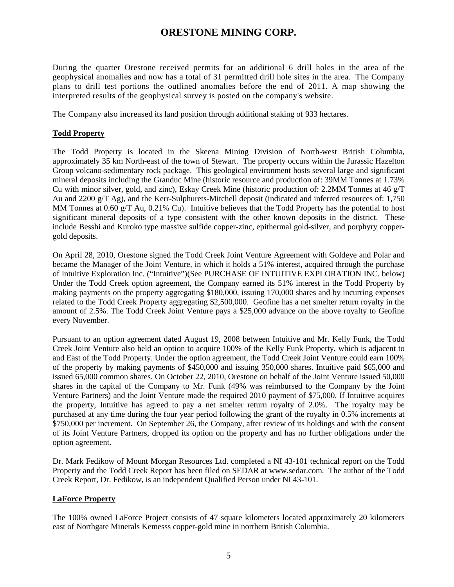During the quarter Orestone received permits for an additional 6 drill holes in the area of the geophysical anomalies and now has a total of 31 permitted drill hole sites in the area. The Company plans to drill test portions the outlined anomalies before the end of 2011. A map showing the interpreted results of the geophysical survey is posted on the company's website.

The Company also increased its land position through additional staking of 933 hectares.

#### **Todd Property**

The Todd Property is located in the Skeena Mining Division of North-west British Columbia, approximately 35 km North-east of the town of Stewart. The property occurs within the Jurassic Hazelton Group volcano-sedimentary rock package. This geological environment hosts several large and significant mineral deposits including the Granduc Mine (historic resource and production of: 39MM Tonnes at 1.73% Cu with minor silver, gold, and zinc), Eskay Creek Mine (historic production of: 2.2MM Tonnes at 46 g/T Au and 2200 g/T Ag), and the Kerr-Sulphurets-Mitchell deposit (indicated and inferred resources of: 1,750 MM Tonnes at 0.60 g/T Au, 0.21% Cu). Intuitive believes that the Todd Property has the potential to host significant mineral deposits of a type consistent with the other known deposits in the district. These include Besshi and Kuroko type massive sulfide copper-zinc, epithermal gold-silver, and porphyry coppergold deposits.

On April 28, 2010, Orestone signed the Todd Creek Joint Venture Agreement with Goldeye and Polar and became the Manager of the Joint Venture, in which it holds a 51% interest, acquired through the purchase of Intuitive Exploration Inc. ("Intuitive")(See PURCHASE OF INTUITIVE EXPLORATION INC. below) Under the Todd Creek option agreement, the Company earned its 51% interest in the Todd Property by making payments on the property aggregating \$180,000, issuing 170,000 shares and by incurring expenses related to the Todd Creek Property aggregating \$2,500,000. Geofine has a net smelter return royalty in the amount of 2.5%. The Todd Creek Joint Venture pays a \$25,000 advance on the above royalty to Geofine every November.

Pursuant to an option agreement dated August 19, 2008 between Intuitive and Mr. Kelly Funk, the Todd Creek Joint Venture also held an option to acquire 100% of the Kelly Funk Property, which is adjacent to and East of the Todd Property. Under the option agreement, the Todd Creek Joint Venture could earn 100% of the property by making payments of \$450,000 and issuing 350,000 shares. Intuitive paid \$65,000 and issued 65,000 common shares. On October 22, 2010, Orestone on behalf of the Joint Venture issued 50,000 shares in the capital of the Company to Mr. Funk (49% was reimbursed to the Company by the Joint Venture Partners) and the Joint Venture made the required 2010 payment of \$75,000. If Intuitive acquires the property, Intuitive has agreed to pay a net smelter return royalty of 2.0%. The royalty may be purchased at any time during the four year period following the grant of the royalty in 0.5% increments at \$750,000 per increment. On September 26, the Company, after review of its holdings and with the consent of its Joint Venture Partners, dropped its option on the property and has no further obligations under the option agreement.

Dr. Mark Fedikow of Mount Morgan Resources Ltd. completed a NI 43-101 technical report on the Todd Property and the Todd Creek Report has been filed on SEDAR at [www.sedar.com.](http://www.sedar.com/) The author of the Todd Creek Report, Dr. Fedikow, is an independent Qualified Person under NI 43-101.

#### **LaForce Property**

The 100% owned LaForce Project consists of 47 square kilometers located approximately 20 kilometers east of Northgate Minerals Kemesss copper-gold mine in northern British Columbia.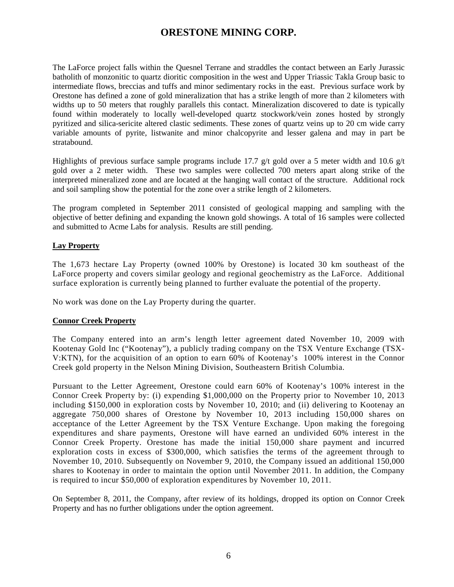The LaForce project falls within the Quesnel Terrane and straddles the contact between an Early Jurassic batholith of monzonitic to quartz dioritic composition in the west and Upper Triassic Takla Group basic to intermediate flows, breccias and tuffs and minor sedimentary rocks in the east. Previous surface work by Orestone has defined a zone of gold mineralization that has a strike length of more than 2 kilometers with widths up to 50 meters that roughly parallels this contact. Mineralization discovered to date is typically found within moderately to locally well-developed quartz stockwork/vein zones hosted by strongly pyritized and silica-sericite altered clastic sediments. These zones of quartz veins up to 20 cm wide carry variable amounts of pyrite, listwanite and minor chalcopyrite and lesser galena and may in part be stratabound.

Highlights of previous surface sample programs include 17.7 g/t gold over a 5 meter width and 10.6 g/t gold over a 2 meter width. These two samples were collected 700 meters apart along strike of the interpreted mineralized zone and are located at the hanging wall contact of the structure. Additional rock and soil sampling show the potential for the zone over a strike length of 2 kilometers.

The program completed in September 2011 consisted of geological mapping and sampling with the objective of better defining and expanding the known gold showings. A total of 16 samples were collected and submitted to Acme Labs for analysis. Results are still pending.

### **Lay Property**

The 1,673 hectare Lay Property (owned 100% by Orestone) is located 30 km southeast of the LaForce property and covers similar geology and regional geochemistry as the LaForce. Additional surface exploration is currently being planned to further evaluate the potential of the property.

No work was done on the Lay Property during the quarter.

### **Connor Creek Property**

The Company entered into an arm's length letter agreement dated November 10, 2009 with Kootenay Gold Inc ("Kootenay"), a publicly trading company on the TSX Venture Exchange (TSX-V:KTN), for the acquisition of an option to earn 60% of Kootenay's 100% interest in the Connor Creek gold property in the Nelson Mining Division, Southeastern British Columbia.

Pursuant to the Letter Agreement, Orestone could earn 60% of Kootenay's 100% interest in the Connor Creek Property by: (i) expending \$1,000,000 on the Property prior to November 10, 2013 including \$150,000 in exploration costs by November 10, 2010; and (ii) delivering to Kootenay an aggregate 750,000 shares of Orestone by November 10, 2013 including 150,000 shares on acceptance of the Letter Agreement by the TSX Venture Exchange. Upon making the foregoing expenditures and share payments, Orestone will have earned an undivided 60% interest in the Connor Creek Property. Orestone has made the initial 150,000 share payment and incurred exploration costs in excess of \$300,000, which satisfies the terms of the agreement through to November 10, 2010. Subsequently on November 9, 2010, the Company issued an additional 150,000 shares to Kootenay in order to maintain the option until November 2011. In addition, the Company is required to incur \$50,000 of exploration expenditures by November 10, 2011.

On September 8, 2011, the Company, after review of its holdings, dropped its option on Connor Creek Property and has no further obligations under the option agreement.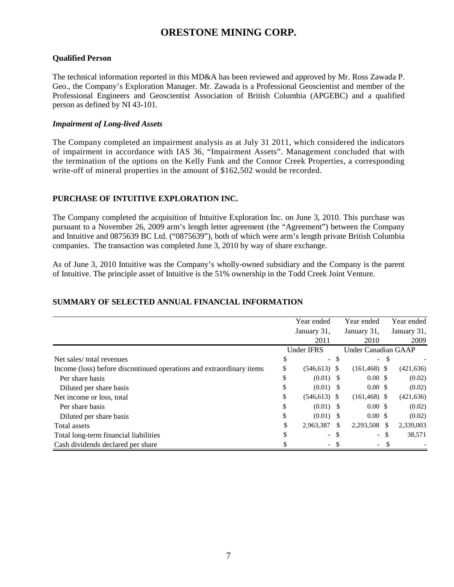#### **Qualified Person**

The technical information reported in this MD&A has been reviewed and approved by Mr. Ross Zawada P. Geo., the Company's Exploration Manager. Mr. Zawada is a Professional Geoscientist and member of the Professional Engineers and Geoscientist Association of British Columbia (APGEBC) and a qualified person as defined by NI 43-101.

#### *Impairment of Long-lived Assets*

The Company completed an impairment analysis as at July 31 2011, which considered the indicators of impairment in accordance with IAS 36, "Impairment Assets". Management concluded that with the termination of the options on the Kelly Funk and the Connor Creek Properties, a corresponding write-off of mineral properties in the amount of \$162,502 would be recorded.

#### **PURCHASE OF INTUITIVE EXPLORATION INC.**

The Company completed the acquisition of Intuitive Exploration Inc. on June 3, 2010. This purchase was pursuant to a November 26, 2009 arm's length letter agreement (the "Agreement") between the Company and Intuitive and 0875639 BC Ltd. ("0875639"), both of which were arm's length private British Columbia companies. The transaction was completed June 3, 2010 by way of share exchange.

As of June 3, 2010 Intuitive was the Company's wholly-owned subsidiary and the Company is the parent of Intuitive. The principle asset of Intuitive is the 51% ownership in the Todd Creek Joint Venture.

#### Year ended January 31, 2011 Year ended January 31, 2010 Year ended January 31, 2009 Under IFRS Net sales/ total revenues  $\sim$  \$ - \$  $\sim$  \$ Income (loss) before discontinued operations and extraordinary items \$ (546,613) \$ (161,468) \$ (421,636) Per share basis  $\qquad \qquad$  0.00 \$ (0.02) Diluted per share basis  $\qquad \qquad$   $(0.01)$  \$  $0.00$  \$  $(0.02)$ Net income or loss, total \$ (546,613) \$ (161,468) \$ (421,636) Per share basis  $\qquad \qquad$  0.00 \$ (0.02) Diluted per share basis  $\qquad \qquad$   $(0.01)$  \$  $(0.02)$ Total assets  $\frac{1}{2}$  assets  $\frac{1}{2}$  assets  $\frac{2,963,387 \text{ s}}{2,293,508 \text{ s}}$  2,339,003 Total long-term financial liabilities  $\frac{1}{2}$  and  $\frac{1}{2}$  and  $\frac{1}{2}$  and  $\frac{1}{2}$  and  $\frac{1}{2}$  and  $\frac{1}{2}$  and  $\frac{1}{2}$  and  $\frac{1}{2}$  and  $\frac{1}{2}$  and  $\frac{1}{2}$  and  $\frac{1}{2}$  and  $\frac{1}{2}$  and  $\frac{1}{2}$  and  $\$ Cash dividends declared per share  $\qquad \qquad$  \$ - \$ - \$ Under Canadian GAAP

#### **SUMMARY OF SELECTED ANNUAL FINANCIAL INFORMATION**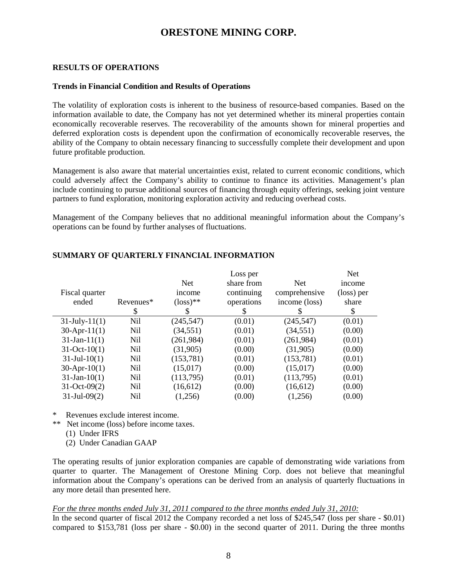#### **RESULTS OF OPERATIONS**

#### **Trends in Financial Condition and Results of Operations**

The volatility of exploration costs is inherent to the business of resource-based companies. Based on the information available to date, the Company has not yet determined whether its mineral properties contain economically recoverable reserves. The recoverability of the amounts shown for mineral properties and deferred exploration costs is dependent upon the confirmation of economically recoverable reserves, the ability of the Company to obtain necessary financing to successfully complete their development and upon future profitable production.

Management is also aware that material uncertainties exist, related to current economic conditions, which could adversely affect the Company's ability to continue to finance its activities. Management's plan include continuing to pursue additional sources of financing through equity offerings, seeking joint venture partners to fund exploration, monitoring exploration activity and reducing overhead costs.

Management of the Company believes that no additional meaningful information about the Company's operations can be found by further analyses of fluctuations.

|                     |           |                      | Loss per   |               | <b>Net</b> |
|---------------------|-----------|----------------------|------------|---------------|------------|
|                     |           | <b>Net</b>           | share from | <b>Net</b>    | income     |
| Fiscal quarter      |           | income               | continuing | comprehensive | (loss) per |
| ended               | Revenues* | $(\text{loss})^{**}$ | operations | income (loss) | share      |
|                     | S         | \$                   | \$         |               | \$         |
| $31$ -July- $11(1)$ | Nil       | (245, 547)           | (0.01)     | (245, 547)    | (0.01)     |
| $30$ -Apr-11(1)     | Nil       | (34, 551)            | (0.01)     | (34, 551)     | (0.00)     |
| $31-Jan-11(1)$      | Nil       | (261,984)            | (0.01)     | (261, 984)    | (0.01)     |
| $31-Oct-10(1)$      | Nil       | (31,905)             | (0.00)     | (31,905)      | (0.00)     |
| $31-Jul-10(1)$      | Nil       | (153, 781)           | (0.01)     | (153, 781)    | (0.01)     |
| $30-Apr-10(1)$      | Nil       | (15,017)             | (0.00)     | (15,017)      | (0.00)     |
| $31-Jan-10(1)$      | Nil       | (113,795)            | (0.01)     | (113,795)     | (0.01)     |
| $31-Oct-09(2)$      | Nil       | (16,612)             | (0.00)     | (16,612)      | (0.00)     |
| $31-Jul-09(2)$      | Nil       | (1,256)              | (0.00)     | (1,256)       | (0.00)     |

#### **SUMMARY OF QUARTERLY FINANCIAL INFORMATION**

Revenues exclude interest income.

- \*\* Net income (loss) before income taxes.
	- (1) Under IFRS
	- (2) Under Canadian GAAP

The operating results of junior exploration companies are capable of demonstrating wide variations from quarter to quarter. The Management of Orestone Mining Corp. does not believe that meaningful information about the Company's operations can be derived from an analysis of quarterly fluctuations in any more detail than presented here.

#### *For the three months ended July 31, 2011 compared to the three months ended July 31, 2010:*

In the second quarter of fiscal 2012 the Company recorded a net loss of \$245,547 (loss per share - \$0.01) compared to \$153,781 (loss per share - \$0.00) in the second quarter of 2011. During the three months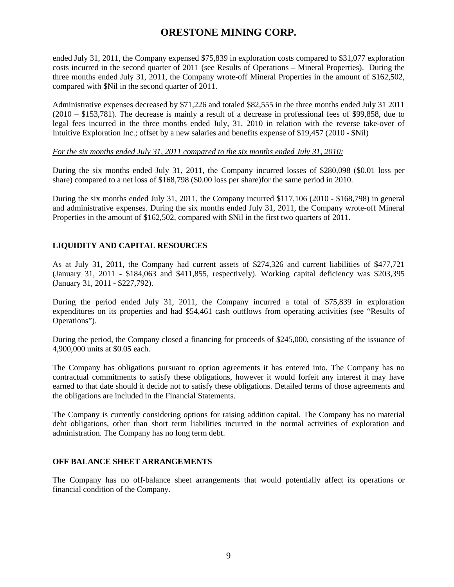ended July 31, 2011, the Company expensed \$75,839 in exploration costs compared to \$31,077 exploration costs incurred in the second quarter of 2011 (see Results of Operations – Mineral Properties). During the three months ended July 31, 2011, the Company wrote-off Mineral Properties in the amount of \$162,502, compared with \$Nil in the second quarter of 2011.

Administrative expenses decreased by \$71,226 and totaled \$82,555 in the three months ended July 31 2011 (2010 – \$153,781). The decrease is mainly a result of a decrease in professional fees of \$99,858, due to legal fees incurred in the three months ended July, 31, 2010 in relation with the reverse take-over of Intuitive Exploration Inc.; offset by a new salaries and benefits expense of \$19,457 (2010 - \$Nil)

#### *For the six months ended July 31, 2011 compared to the six months ended July 31, 2010:*

During the six months ended July 31, 2011, the Company incurred losses of \$280,098 (\$0.01 loss per share) compared to a net loss of \$168,798 (\$0.00 loss per share)for the same period in 2010.

During the six months ended July 31, 2011, the Company incurred \$117,106 (2010 - \$168,798) in general and administrative expenses. During the six months ended July 31, 2011, the Company wrote-off Mineral Properties in the amount of \$162,502, compared with \$Nil in the first two quarters of 2011.

### **LIQUIDITY AND CAPITAL RESOURCES**

As at July 31, 2011, the Company had current assets of \$274,326 and current liabilities of \$477,721 (January 31, 2011 - \$184,063 and \$411,855, respectively). Working capital deficiency was \$203,395 (January 31, 2011 - \$227,792).

During the period ended July 31, 2011, the Company incurred a total of \$75,839 in exploration expenditures on its properties and had \$54,461 cash outflows from operating activities (see "Results of Operations").

During the period, the Company closed a financing for proceeds of \$245,000, consisting of the issuance of 4,900,000 units at \$0.05 each.

The Company has obligations pursuant to option agreements it has entered into. The Company has no contractual commitments to satisfy these obligations, however it would forfeit any interest it may have earned to that date should it decide not to satisfy these obligations. Detailed terms of those agreements and the obligations are included in the Financial Statements.

The Company is currently considering options for raising addition capital. The Company has no material debt obligations, other than short term liabilities incurred in the normal activities of exploration and administration. The Company has no long term debt.

#### **OFF BALANCE SHEET ARRANGEMENTS**

The Company has no off-balance sheet arrangements that would potentially affect its operations or financial condition of the Company.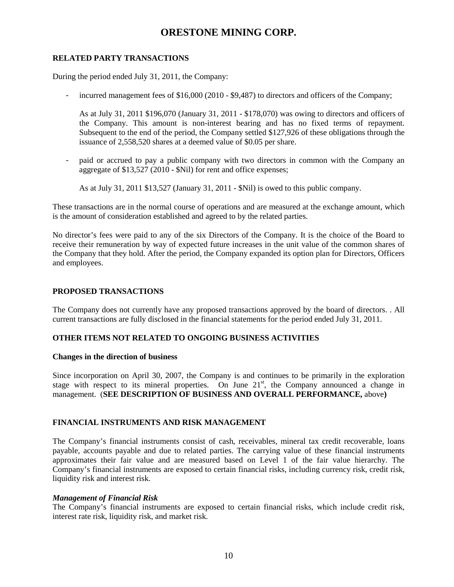#### **RELATED PARTY TRANSACTIONS**

During the period ended July 31, 2011, the Company:

incurred management fees of \$16,000 (2010 - \$9,487) to directors and officers of the Company;

As at July 31, 2011 \$196,070 (January 31, 2011 - \$178,070) was owing to directors and officers of the Company. This amount is non-interest bearing and has no fixed terms of repayment. Subsequent to the end of the period, the Company settled \$127,926 of these obligations through the issuance of 2,558,520 shares at a deemed value of \$0.05 per share.

- paid or accrued to pay a public company with two directors in common with the Company an aggregate of \$13,527 (2010 - \$Nil) for rent and office expenses;

As at July 31, 2011 \$13,527 (January 31, 2011 - \$Nil) is owed to this public company.

These transactions are in the normal course of operations and are measured at the exchange amount, which is the amount of consideration established and agreed to by the related parties.

No director's fees were paid to any of the six Directors of the Company. It is the choice of the Board to receive their remuneration by way of expected future increases in the unit value of the common shares of the Company that they hold. After the period, the Company expanded its option plan for Directors, Officers and employees.

#### **PROPOSED TRANSACTIONS**

The Company does not currently have any proposed transactions approved by the board of directors. . All current transactions are fully disclosed in the financial statements for the period ended July 31, 2011.

#### **OTHER ITEMS NOT RELATED TO ONGOING BUSINESS ACTIVITIES**

#### **Changes in the direction of business**

Since incorporation on April 30, 2007, the Company is and continues to be primarily in the exploration stage with respect to its mineral properties. On June  $21<sup>st</sup>$ , the Company announced a change in management. (**SEE DESCRIPTION OF BUSINESS AND OVERALL PERFORMANCE,** above**)**

#### **FINANCIAL INSTRUMENTS AND RISK MANAGEMENT**

The Company's financial instruments consist of cash, receivables, mineral tax credit recoverable, loans payable, accounts payable and due to related parties. The carrying value of these financial instruments approximates their fair value and are measured based on Level 1 of the fair value hierarchy. The Company's financial instruments are exposed to certain financial risks, including currency risk, credit risk, liquidity risk and interest risk.

#### *Management of Financial Risk*

The Company's financial instruments are exposed to certain financial risks, which include credit risk, interest rate risk, liquidity risk, and market risk.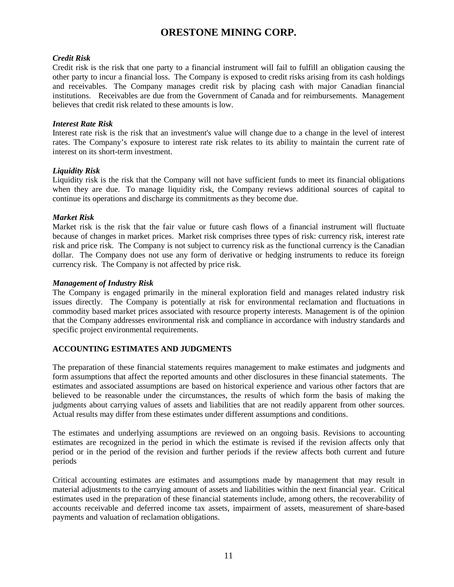#### *Credit Risk*

Credit risk is the risk that one party to a financial instrument will fail to fulfill an obligation causing the other party to incur a financial loss. The Company is exposed to credit risks arising from its cash holdings and receivables. The Company manages credit risk by placing cash with major Canadian financial institutions. Receivables are due from the Government of Canada and for reimbursements. Management believes that credit risk related to these amounts is low.

#### *Interest Rate Risk*

Interest rate risk is the risk that an investment's value will change due to a change in the level of interest rates. The Company's exposure to interest rate risk relates to its ability to maintain the current rate of interest on its short-term investment.

### *Liquidity Risk*

Liquidity risk is the risk that the Company will not have sufficient funds to meet its financial obligations when they are due. To manage liquidity risk, the Company reviews additional sources of capital to continue its operations and discharge its commitments as they become due.

### *Market Risk*

Market risk is the risk that the fair value or future cash flows of a financial instrument will fluctuate because of changes in market prices. Market risk comprises three types of risk: currency risk, interest rate risk and price risk. The Company is not subject to currency risk as the functional currency is the Canadian dollar. The Company does not use any form of derivative or hedging instruments to reduce its foreign currency risk. The Company is not affected by price risk.

### *Management of Industry Risk*

The Company is engaged primarily in the mineral exploration field and manages related industry risk issues directly. The Company is potentially at risk for environmental reclamation and fluctuations in commodity based market prices associated with resource property interests. Management is of the opinion that the Company addresses environmental risk and compliance in accordance with industry standards and specific project environmental requirements.

### **ACCOUNTING ESTIMATES AND JUDGMENTS**

The preparation of these financial statements requires management to make estimates and judgments and form assumptions that affect the reported amounts and other disclosures in these financial statements. The estimates and associated assumptions are based on historical experience and various other factors that are believed to be reasonable under the circumstances, the results of which form the basis of making the judgments about carrying values of assets and liabilities that are not readily apparent from other sources. Actual results may differ from these estimates under different assumptions and conditions.

The estimates and underlying assumptions are reviewed on an ongoing basis. Revisions to accounting estimates are recognized in the period in which the estimate is revised if the revision affects only that period or in the period of the revision and further periods if the review affects both current and future periods

Critical accounting estimates are estimates and assumptions made by management that may result in material adjustments to the carrying amount of assets and liabilities within the next financial year. Critical estimates used in the preparation of these financial statements include, among others, the recoverability of accounts receivable and deferred income tax assets, impairment of assets, measurement of share-based payments and valuation of reclamation obligations.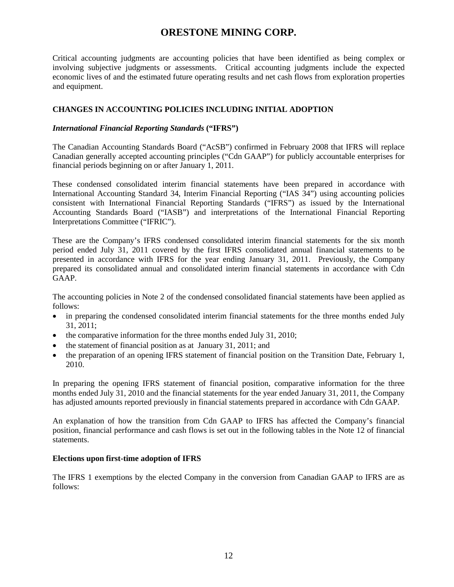Critical accounting judgments are accounting policies that have been identified as being complex or involving subjective judgments or assessments. Critical accounting judgments include the expected economic lives of and the estimated future operating results and net cash flows from exploration properties and equipment.

### **CHANGES IN ACCOUNTING POLICIES INCLUDING INITIAL ADOPTION**

#### *International Financial Reporting Standards* **("IFRS")**

The Canadian Accounting Standards Board ("AcSB") confirmed in February 2008 that IFRS will replace Canadian generally accepted accounting principles ("Cdn GAAP") for publicly accountable enterprises for financial periods beginning on or after January 1, 2011.

These condensed consolidated interim financial statements have been prepared in accordance with International Accounting Standard 34, Interim Financial Reporting ("IAS 34") using accounting policies consistent with International Financial Reporting Standards ("IFRS") as issued by the International Accounting Standards Board ("IASB") and interpretations of the International Financial Reporting Interpretations Committee ("IFRIC").

These are the Company's IFRS condensed consolidated interim financial statements for the six month period ended July 31, 2011 covered by the first IFRS consolidated annual financial statements to be presented in accordance with IFRS for the year ending January 31, 2011. Previously, the Company prepared its consolidated annual and consolidated interim financial statements in accordance with Cdn GAAP.

The accounting policies in Note 2 of the condensed consolidated financial statements have been applied as follows:

- in preparing the condensed consolidated interim financial statements for the three months ended July 31, 2011;
- the comparative information for the three months ended July 31, 2010;
- the statement of financial position as at January 31, 2011; and
- the preparation of an opening IFRS statement of financial position on the Transition Date, February 1, 2010.

In preparing the opening IFRS statement of financial position, comparative information for the three months ended July 31, 2010 and the financial statements for the year ended January 31, 2011, the Company has adjusted amounts reported previously in financial statements prepared in accordance with Cdn GAAP.

An explanation of how the transition from Cdn GAAP to IFRS has affected the Company's financial position, financial performance and cash flows is set out in the following tables in the Note 12 of financial statements.

#### **Elections upon first-time adoption of IFRS**

The IFRS 1 exemptions by the elected Company in the conversion from Canadian GAAP to IFRS are as follows: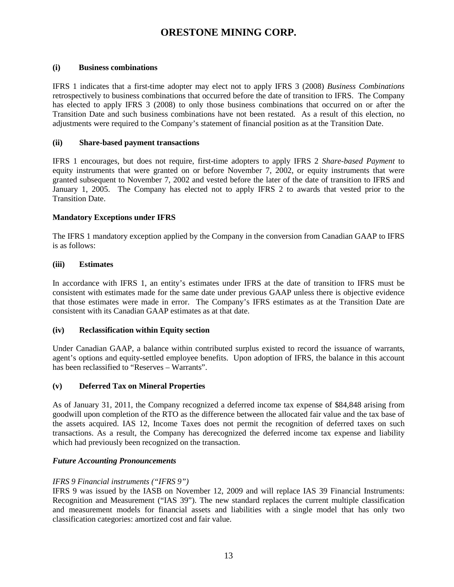#### **(i) Business combinations**

IFRS 1 indicates that a first-time adopter may elect not to apply IFRS 3 (2008) *Business Combinations* retrospectively to business combinations that occurred before the date of transition to IFRS. The Company has elected to apply IFRS 3 (2008) to only those business combinations that occurred on or after the Transition Date and such business combinations have not been restated. As a result of this election, no adjustments were required to the Company's statement of financial position as at the Transition Date.

### **(ii) Share-based payment transactions**

IFRS 1 encourages, but does not require, first-time adopters to apply IFRS 2 *Share-based Payment* to equity instruments that were granted on or before November 7, 2002, or equity instruments that were granted subsequent to November 7, 2002 and vested before the later of the date of transition to IFRS and January 1, 2005. The Company has elected not to apply IFRS 2 to awards that vested prior to the Transition Date.

### **Mandatory Exceptions under IFRS**

The IFRS 1 mandatory exception applied by the Company in the conversion from Canadian GAAP to IFRS is as follows:

### **(iii) Estimates**

In accordance with IFRS 1, an entity's estimates under IFRS at the date of transition to IFRS must be consistent with estimates made for the same date under previous GAAP unless there is objective evidence that those estimates were made in error. The Company's IFRS estimates as at the Transition Date are consistent with its Canadian GAAP estimates as at that date.

#### **(iv) Reclassification within Equity section**

Under Canadian GAAP, a balance within contributed surplus existed to record the issuance of warrants, agent's options and equity-settled employee benefits. Upon adoption of IFRS, the balance in this account has been reclassified to "Reserves – Warrants".

#### **(v) Deferred Tax on Mineral Properties**

As of January 31, 2011, the Company recognized a deferred income tax expense of \$84,848 arising from goodwill upon completion of the RTO as the difference between the allocated fair value and the tax base of the assets acquired. IAS 12, Income Taxes does not permit the recognition of deferred taxes on such transactions. As a result, the Company has derecognized the deferred income tax expense and liability which had previously been recognized on the transaction.

### *Future Accounting Pronouncements*

### *IFRS 9 Financial instruments ("IFRS 9")*

IFRS 9 was issued by the IASB on November 12, 2009 and will replace IAS 39 Financial Instruments: Recognition and Measurement ("IAS 39"). The new standard replaces the current multiple classification and measurement models for financial assets and liabilities with a single model that has only two classification categories: amortized cost and fair value.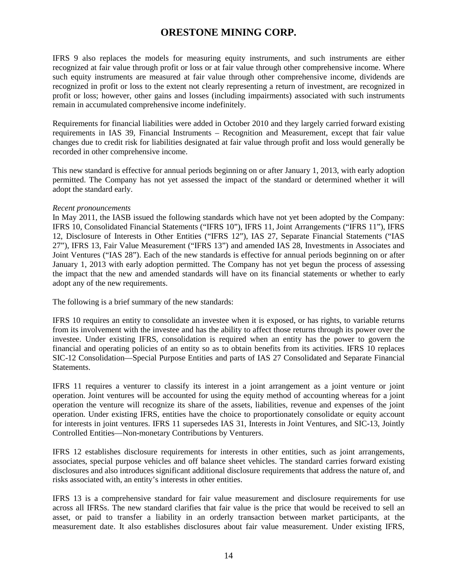IFRS 9 also replaces the models for measuring equity instruments, and such instruments are either recognized at fair value through profit or loss or at fair value through other comprehensive income. Where such equity instruments are measured at fair value through other comprehensive income, dividends are recognized in profit or loss to the extent not clearly representing a return of investment, are recognized in profit or loss; however, other gains and losses (including impairments) associated with such instruments remain in accumulated comprehensive income indefinitely.

Requirements for financial liabilities were added in October 2010 and they largely carried forward existing requirements in IAS 39, Financial Instruments – Recognition and Measurement, except that fair value changes due to credit risk for liabilities designated at fair value through profit and loss would generally be recorded in other comprehensive income.

This new standard is effective for annual periods beginning on or after January 1, 2013, with early adoption permitted. The Company has not yet assessed the impact of the standard or determined whether it will adopt the standard early.

#### *Recent pronouncements*

In May 2011, the IASB issued the following standards which have not yet been adopted by the Company: IFRS 10, Consolidated Financial Statements ("IFRS 10"), IFRS 11, Joint Arrangements ("IFRS 11"), IFRS 12, Disclosure of Interests in Other Entities ("IFRS 12"), IAS 27, Separate Financial Statements ("IAS 27"), IFRS 13, Fair Value Measurement ("IFRS 13") and amended IAS 28, Investments in Associates and Joint Ventures ("IAS 28"). Each of the new standards is effective for annual periods beginning on or after January 1, 2013 with early adoption permitted. The Company has not yet begun the process of assessing the impact that the new and amended standards will have on its financial statements or whether to early adopt any of the new requirements.

The following is a brief summary of the new standards:

IFRS 10 requires an entity to consolidate an investee when it is exposed, or has rights, to variable returns from its involvement with the investee and has the ability to affect those returns through its power over the investee. Under existing IFRS, consolidation is required when an entity has the power to govern the financial and operating policies of an entity so as to obtain benefits from its activities. IFRS 10 replaces SIC-12 Consolidation—Special Purpose Entities and parts of IAS 27 Consolidated and Separate Financial Statements.

IFRS 11 requires a venturer to classify its interest in a joint arrangement as a joint venture or joint operation. Joint ventures will be accounted for using the equity method of accounting whereas for a joint operation the venture will recognize its share of the assets, liabilities, revenue and expenses of the joint operation. Under existing IFRS, entities have the choice to proportionately consolidate or equity account for interests in joint ventures. IFRS 11 supersedes IAS 31, Interests in Joint Ventures, and SIC-13, Jointly Controlled Entities—Non-monetary Contributions by Venturers.

IFRS 12 establishes disclosure requirements for interests in other entities, such as joint arrangements, associates, special purpose vehicles and off balance sheet vehicles. The standard carries forward existing disclosures and also introduces significant additional disclosure requirements that address the nature of, and risks associated with, an entity's interests in other entities.

IFRS 13 is a comprehensive standard for fair value measurement and disclosure requirements for use across all IFRSs. The new standard clarifies that fair value is the price that would be received to sell an asset, or paid to transfer a liability in an orderly transaction between market participants, at the measurement date. It also establishes disclosures about fair value measurement. Under existing IFRS,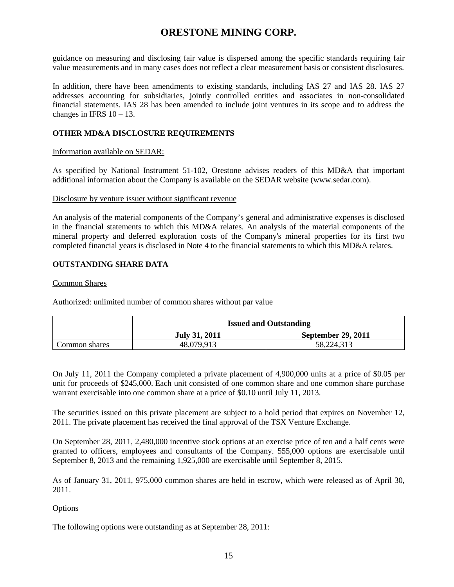guidance on measuring and disclosing fair value is dispersed among the specific standards requiring fair value measurements and in many cases does not reflect a clear measurement basis or consistent disclosures.

In addition, there have been amendments to existing standards, including IAS 27 and IAS 28. IAS 27 addresses accounting for subsidiaries, jointly controlled entities and associates in non-consolidated financial statements. IAS 28 has been amended to include joint ventures in its scope and to address the changes in IFRS  $10 - 13$ .

### **OTHER MD&A DISCLOSURE REQUIREMENTS**

### Information available on SEDAR:

As specified by National Instrument 51-102, Orestone advises readers of this MD&A that important additional information about the Company is available on the SEDAR website (www.sedar.com).

#### Disclosure by venture issuer without significant revenue

An analysis of the material components of the Company's general and administrative expenses is disclosed in the financial statements to which this MD&A relates. An analysis of the material components of the mineral property and deferred exploration costs of the Company's mineral properties for its first two completed financial years is disclosed in Note 4 to the financial statements to which this MD&A relates.

### **OUTSTANDING SHARE DATA**

### Common Shares

Authorized: unlimited number of common shares without par value

|               | <b>Issued and Outstanding</b> |                           |
|---------------|-------------------------------|---------------------------|
|               | <b>July 31, 2011</b>          | <b>September 29, 2011</b> |
| Common shares | 48,079,913                    | 58,224,313                |

On July 11, 2011 the Company completed a private placement of 4,900,000 units at a price of \$0.05 per unit for proceeds of \$245,000. Each unit consisted of one common share and one common share purchase warrant exercisable into one common share at a price of \$0.10 until July 11, 2013.

The securities issued on this private placement are subject to a hold period that expires on November 12, 2011. The private placement has received the final approval of the TSX Venture Exchange.

On September 28, 2011, 2,480,000 incentive stock options at an exercise price of ten and a half cents were granted to officers, employees and consultants of the Company. 555,000 options are exercisable until September 8, 2013 and the remaining 1,925,000 are exercisable until September 8, 2015.

As of January 31, 2011, 975,000 common shares are held in escrow, which were released as of April 30, 2011.

### **Options**

The following options were outstanding as at September 28, 2011: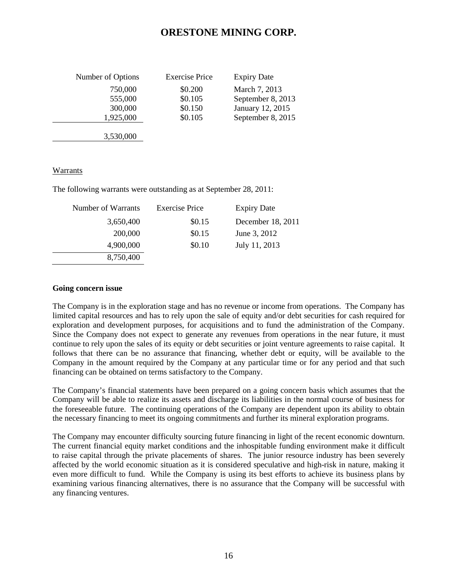| Number of Options | <b>Exercise Price</b> | <b>Expiry Date</b> |
|-------------------|-----------------------|--------------------|
| 750,000           | \$0.200               | March 7, 2013      |
| 555,000           | \$0.105               | September 8, 2013  |
| 300,000           | \$0.150               | January 12, 2015   |
| 1,925,000         | \$0.105               | September 8, 2015  |
|                   |                       |                    |

#### Warrants

The following warrants were outstanding as at September 28, 2011:

3,530,000

| Number of Warrants | <b>Exercise Price</b> | <b>Expiry Date</b> |
|--------------------|-----------------------|--------------------|
| 3,650,400          | \$0.15                | December 18, 2011  |
| 200,000            | \$0.15                | June 3, 2012       |
| 4,900,000          | \$0.10                | July 11, 2013      |
| 8,750,400          |                       |                    |

#### **Going concern issue**

The Company is in the exploration stage and has no revenue or income from operations. The Company has limited capital resources and has to rely upon the sale of equity and/or debt securities for cash required for exploration and development purposes, for acquisitions and to fund the administration of the Company. Since the Company does not expect to generate any revenues from operations in the near future, it must continue to rely upon the sales of its equity or debt securities or joint venture agreements to raise capital. It follows that there can be no assurance that financing, whether debt or equity, will be available to the Company in the amount required by the Company at any particular time or for any period and that such financing can be obtained on terms satisfactory to the Company.

The Company's financial statements have been prepared on a going concern basis which assumes that the Company will be able to realize its assets and discharge its liabilities in the normal course of business for the foreseeable future. The continuing operations of the Company are dependent upon its ability to obtain the necessary financing to meet its ongoing commitments and further its mineral exploration programs.

The Company may encounter difficulty sourcing future financing in light of the recent economic downturn. The current financial equity market conditions and the inhospitable funding environment make it difficult to raise capital through the private placements of shares. The junior resource industry has been severely affected by the world economic situation as it is considered speculative and high-risk in nature, making it even more difficult to fund. While the Company is using its best efforts to achieve its business plans by examining various financing alternatives, there is no assurance that the Company will be successful with any financing ventures.